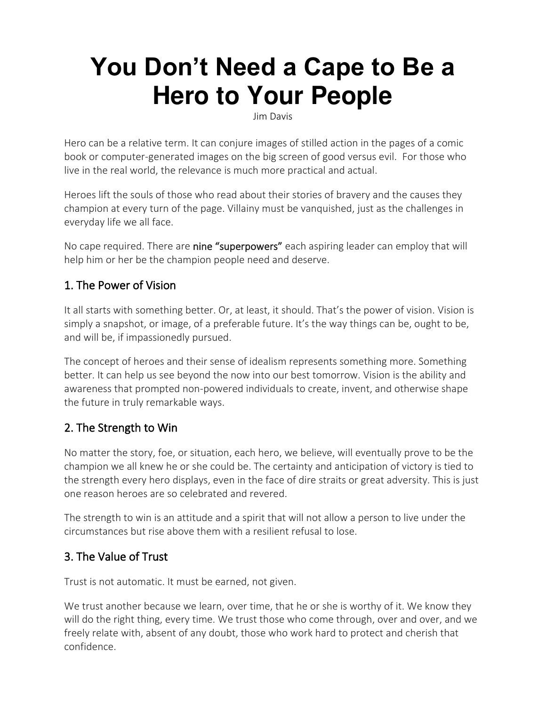# **You Don't Need a Cape to Be a Hero to Your People**

Jim Davis

Hero can be a relative term. It can conjure images of stilled action in the pages of a comic book or computer-generated images on the big screen of good versus evil. For those who live in the real world, the relevance is much more practical and actual.

Heroes lift the souls of those who read about their stories of bravery and the causes they champion at every turn of the page. Villainy must be vanquished, just as the challenges in everyday life we all face.

No cape required. There are nine "superpowers" each aspiring leader can employ that will help him or her be the champion people need and deserve.

#### 1. The Power of Vision

It all starts with something better. Or, at least, it should. That's the power of vision. Vision is simply a snapshot, or image, of a preferable future. It's the way things can be, ought to be, and will be, if impassionedly pursued.

The concept of heroes and their sense of idealism represents something more. Something better. It can help us see beyond the now into our best tomorrow. Vision is the ability and awareness that prompted non-powered individuals to create, invent, and otherwise shape the future in truly remarkable ways.

#### 2. The Strength to Win

No matter the story, foe, or situation, each hero, we believe, will eventually prove to be the champion we all knew he or she could be. The certainty and anticipation of victory is tied to the strength every hero displays, even in the face of dire straits or great adversity. This is just one reason heroes are so celebrated and revered.

The strength to win is an attitude and a spirit that will not allow a person to live under the circumstances but rise above them with a resilient refusal to lose.

## 3. The Value of Trust

Trust is not automatic. It must be earned, not given.

We trust another because we learn, over time, that he or she is worthy of it. We know they will do the right thing, every time. We trust those who come through, over and over, and we freely relate with, absent of any doubt, those who work hard to protect and cherish that confidence.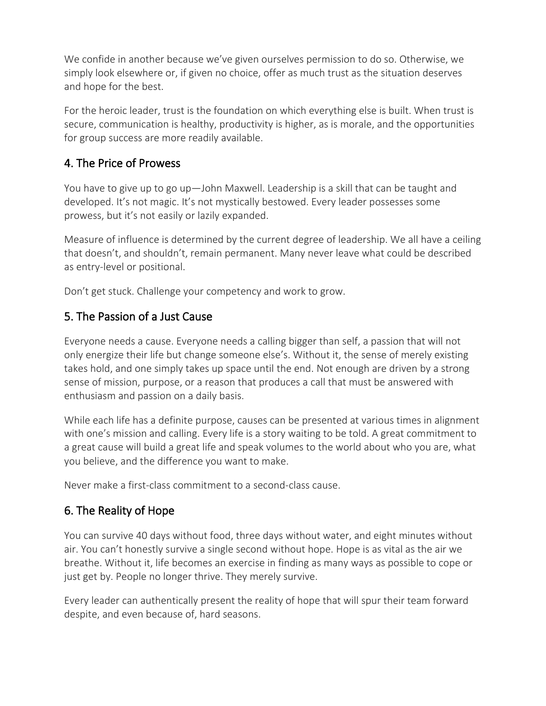We confide in another because we've given ourselves permission to do so. Otherwise, we simply look elsewhere or, if given no choice, offer as much trust as the situation deserves and hope for the best.

For the heroic leader, trust is the foundation on which everything else is built. When trust is secure, communication is healthy, productivity is higher, as is morale, and the opportunities for group success are more readily available.

### 4. The Price of Prowess

You have to give up to go up—John Maxwell. Leadership is a skill that can be taught and developed. It's not magic. It's not mystically bestowed. Every leader possesses some prowess, but it's not easily or lazily expanded.

Measure of influence is determined by the current degree of leadership. We all have a ceiling that doesn't, and shouldn't, remain permanent. Many never leave what could be described as entry-level or positional.

Don't get stuck. Challenge your competency and work to grow.

#### 5. The Passion of a Just Cause

Everyone needs a cause. Everyone needs a calling bigger than self, a passion that will not only energize their life but change someone else's. Without it, the sense of merely existing takes hold, and one simply takes up space until the end. Not enough are driven by a strong sense of mission, purpose, or a reason that produces a call that must be answered with enthusiasm and passion on a daily basis.

While each life has a definite purpose, causes can be presented at various times in alignment with one's mission and calling. Every life is a story waiting to be told. A great commitment to a great cause will build a great life and speak volumes to the world about who you are, what you believe, and the difference you want to make.

Never make a first-class commitment to a second-class cause.

## 6. The Reality of Hope

You can survive 40 days without food, three days without water, and eight minutes without air. You can't honestly survive a single second without hope. Hope is as vital as the air we breathe. Without it, life becomes an exercise in finding as many ways as possible to cope or just get by. People no longer thrive. They merely survive.

Every leader can authentically present the reality of hope that will spur their team forward despite, and even because of, hard seasons.